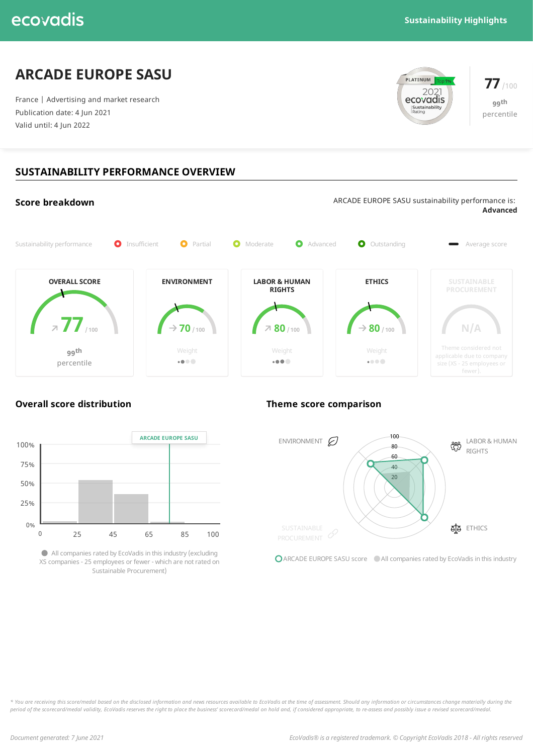## **ARCADE EUROPE SASU**

France | Advertising and market research Publication date: 4 Jun 2021 Valid until: 4 Jun 2022





## **SUSTAINABILITY PERFORMANCE OVERVIEW**



### **Overall score distribution Theme score comparison**



Allcompanies rated by EcoVadis in this industry(excluding XS companies - 25 employees or fewer - which are notrated on Sustainable Procurement)



**O** ARCADE EUROPE SASU score All companies rated by EcoVadis in this industry

\* You are receiving this score/medal based on the disclosed information and news resources available to EcoVadis at the time of assessment. Should any information or circumstances change materially during the period of the scorecard/medal validity, EcoVadis reserves the right to place the business' scorecard/medal on hold and, if considered appropriate, to re-assess and possibly issue a revised scorecard/medal.